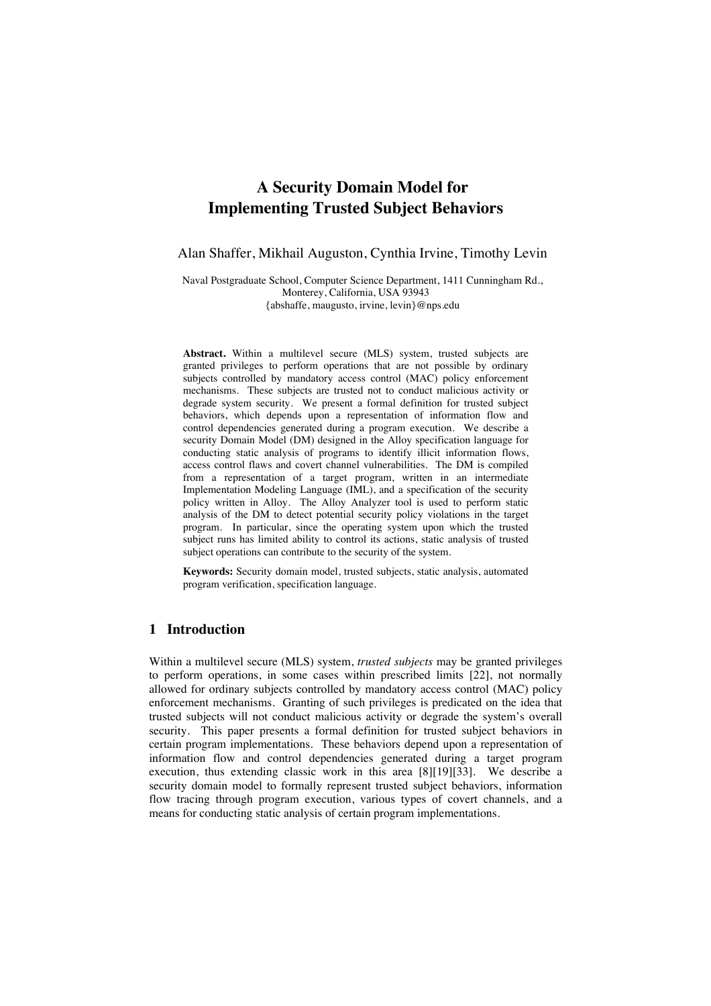# **A Security Domain Model for Implementing Trusted Subject Behaviors**

Alan Shaffer, Mikhail Auguston, Cynthia Irvine, Timothy Levin

Naval Postgraduate School, Computer Science Department, 1411 Cunningham Rd., Monterey, California, USA 93943 {abshaffe, maugusto, irvine, levin}@nps.edu

**Abstract.** Within a multilevel secure (MLS) system, trusted subjects are granted privileges to perform operations that are not possible by ordinary subjects controlled by mandatory access control (MAC) policy enforcement mechanisms. These subjects are trusted not to conduct malicious activity or degrade system security. We present a formal definition for trusted subject behaviors, which depends upon a representation of information flow and control dependencies generated during a program execution. We describe a security Domain Model (DM) designed in the Alloy specification language for conducting static analysis of programs to identify illicit information flows, access control flaws and covert channel vulnerabilities. The DM is compiled from a representation of a target program, written in an intermediate Implementation Modeling Language (IML), and a specification of the security policy written in Alloy. The Alloy Analyzer tool is used to perform static analysis of the DM to detect potential security policy violations in the target program. In particular, since the operating system upon which the trusted subject runs has limited ability to control its actions, static analysis of trusted subject operations can contribute to the security of the system.

**Keywords:** Security domain model, trusted subjects, static analysis, automated program verification, specification language.

### **1 Introduction**

Within a multilevel secure (MLS) system, *trusted subjects* may be granted privileges to perform operations, in some cases within prescribed limits [22], not normally allowed for ordinary subjects controlled by mandatory access control (MAC) policy enforcement mechanisms. Granting of such privileges is predicated on the idea that trusted subjects will not conduct malicious activity or degrade the system's overall security. This paper presents a formal definition for trusted subject behaviors in certain program implementations. These behaviors depend upon a representation of information flow and control dependencies generated during a target program execution, thus extending classic work in this area [8][19][33]. We describe a security domain model to formally represent trusted subject behaviors, information flow tracing through program execution, various types of covert channels, and a means for conducting static analysis of certain program implementations.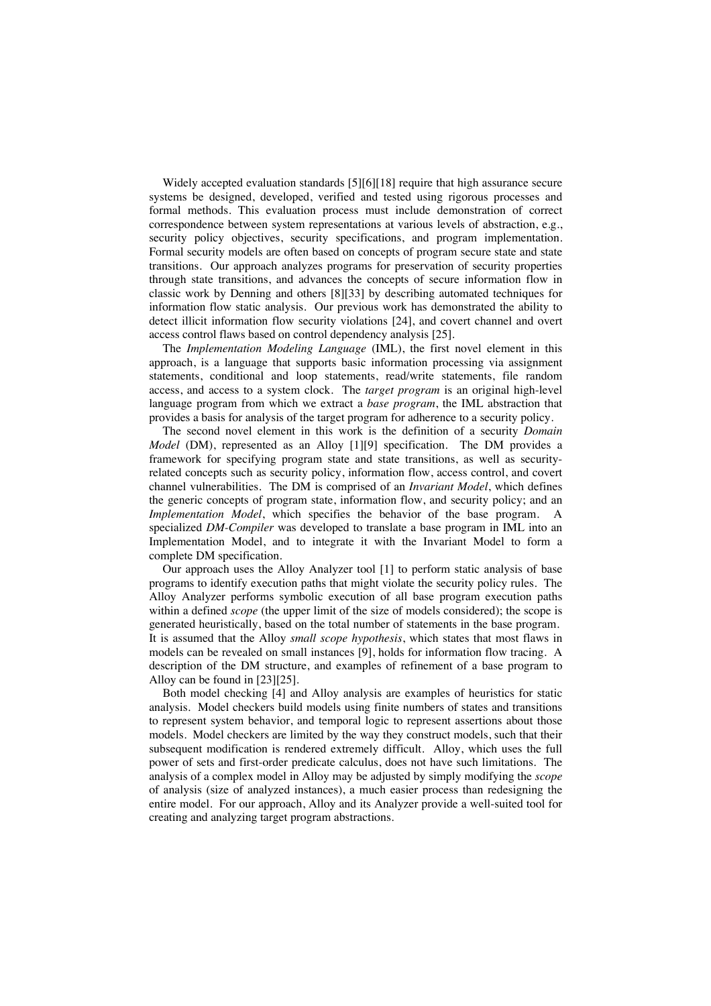Widely accepted evaluation standards [5][6][18] require that high assurance secure systems be designed, developed, verified and tested using rigorous processes and formal methods. This evaluation process must include demonstration of correct correspondence between system representations at various levels of abstraction, e.g., security policy objectives, security specifications, and program implementation. Formal security models are often based on concepts of program secure state and state transitions. Our approach analyzes programs for preservation of security properties through state transitions, and advances the concepts of secure information flow in classic work by Denning and others [8][33] by describing automated techniques for information flow static analysis. Our previous work has demonstrated the ability to detect illicit information flow security violations [24], and covert channel and overt access control flaws based on control dependency analysis [25].

The *Implementation Modeling Language* (IML), the first novel element in this approach, is a language that supports basic information processing via assignment statements, conditional and loop statements, read/write statements, file random access, and access to a system clock. The *target program* is an original high-level language program from which we extract a *base program*, the IML abstraction that provides a basis for analysis of the target program for adherence to a security policy.

The second novel element in this work is the definition of a security *Domain Model* (DM), represented as an Alloy [1][9] specification. The DM provides a framework for specifying program state and state transitions, as well as securityrelated concepts such as security policy, information flow, access control, and covert channel vulnerabilities. The DM is comprised of an *Invariant Model*, which defines the generic concepts of program state, information flow, and security policy; and an *Implementation Model*, which specifies the behavior of the base program. A specialized *DM-Compiler* was developed to translate a base program in IML into an Implementation Model, and to integrate it with the Invariant Model to form a complete DM specification.

Our approach uses the Alloy Analyzer tool [1] to perform static analysis of base programs to identify execution paths that might violate the security policy rules. The Alloy Analyzer performs symbolic execution of all base program execution paths within a defined *scope* (the upper limit of the size of models considered); the scope is generated heuristically, based on the total number of statements in the base program. It is assumed that the Alloy *small scope hypothesis*, which states that most flaws in models can be revealed on small instances [9], holds for information flow tracing. A description of the DM structure, and examples of refinement of a base program to Alloy can be found in [23][25].

Both model checking [4] and Alloy analysis are examples of heuristics for static analysis. Model checkers build models using finite numbers of states and transitions to represent system behavior, and temporal logic to represent assertions about those models. Model checkers are limited by the way they construct models, such that their subsequent modification is rendered extremely difficult. Alloy, which uses the full power of sets and first-order predicate calculus, does not have such limitations. The analysis of a complex model in Alloy may be adjusted by simply modifying the *scope* of analysis (size of analyzed instances), a much easier process than redesigning the entire model. For our approach, Alloy and its Analyzer provide a well-suited tool for creating and analyzing target program abstractions.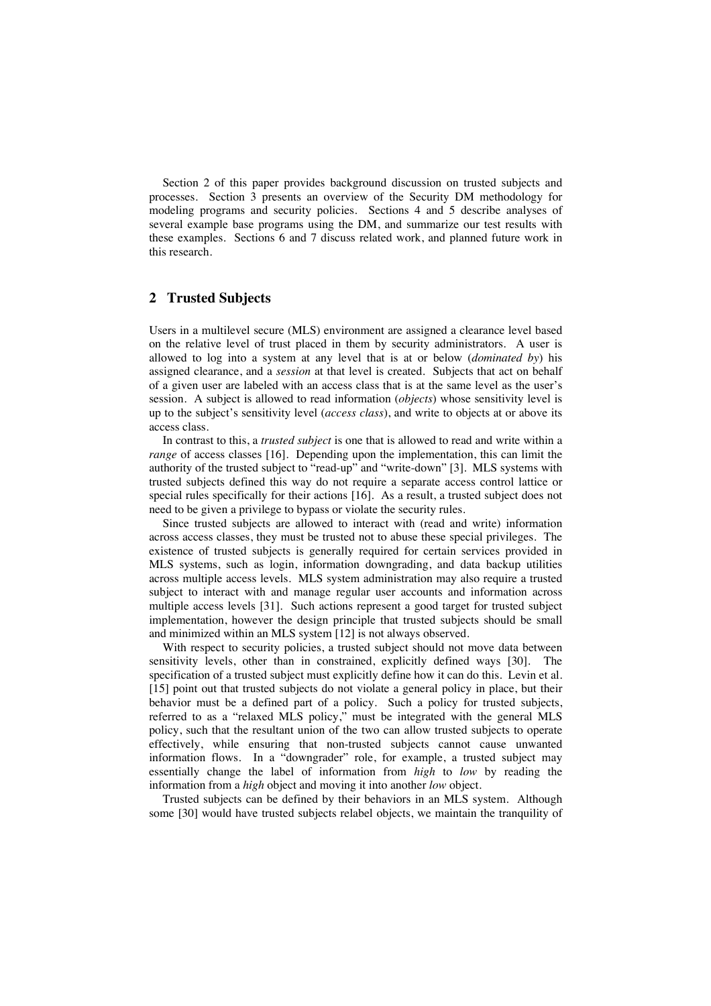Section 2 of this paper provides background discussion on trusted subjects and processes. Section 3 presents an overview of the Security DM methodology for modeling programs and security policies. Sections 4 and 5 describe analyses of several example base programs using the DM, and summarize our test results with these examples. Sections 6 and 7 discuss related work, and planned future work in this research.

### **2 Trusted Subjects**

Users in a multilevel secure (MLS) environment are assigned a clearance level based on the relative level of trust placed in them by security administrators. A user is allowed to log into a system at any level that is at or below (*dominated by*) his assigned clearance, and a *session* at that level is created. Subjects that act on behalf of a given user are labeled with an access class that is at the same level as the user's session. A subject is allowed to read information (*objects*) whose sensitivity level is up to the subject's sensitivity level (*access class*), and write to objects at or above its access class.

In contrast to this, a *trusted subject* is one that is allowed to read and write within a *range* of access classes [16]. Depending upon the implementation, this can limit the authority of the trusted subject to "read-up" and "write-down" [3]. MLS systems with trusted subjects defined this way do not require a separate access control lattice or special rules specifically for their actions [16]. As a result, a trusted subject does not need to be given a privilege to bypass or violate the security rules.

Since trusted subjects are allowed to interact with (read and write) information across access classes, they must be trusted not to abuse these special privileges. The existence of trusted subjects is generally required for certain services provided in MLS systems, such as login, information downgrading, and data backup utilities across multiple access levels. MLS system administration may also require a trusted subject to interact with and manage regular user accounts and information across multiple access levels [31]. Such actions represent a good target for trusted subject implementation, however the design principle that trusted subjects should be small and minimized within an MLS system [12] is not always observed.

With respect to security policies, a trusted subject should not move data between sensitivity levels, other than in constrained, explicitly defined ways [30]. The specification of a trusted subject must explicitly define how it can do this. Levin et al. [15] point out that trusted subjects do not violate a general policy in place, but their behavior must be a defined part of a policy. Such a policy for trusted subjects, referred to as a "relaxed MLS policy," must be integrated with the general MLS policy, such that the resultant union of the two can allow trusted subjects to operate effectively, while ensuring that non-trusted subjects cannot cause unwanted information flows. In a "downgrader" role, for example, a trusted subject may essentially change the label of information from *high* to *low* by reading the information from a *high* object and moving it into another *low* object.

Trusted subjects can be defined by their behaviors in an MLS system. Although some [30] would have trusted subjects relabel objects, we maintain the tranquility of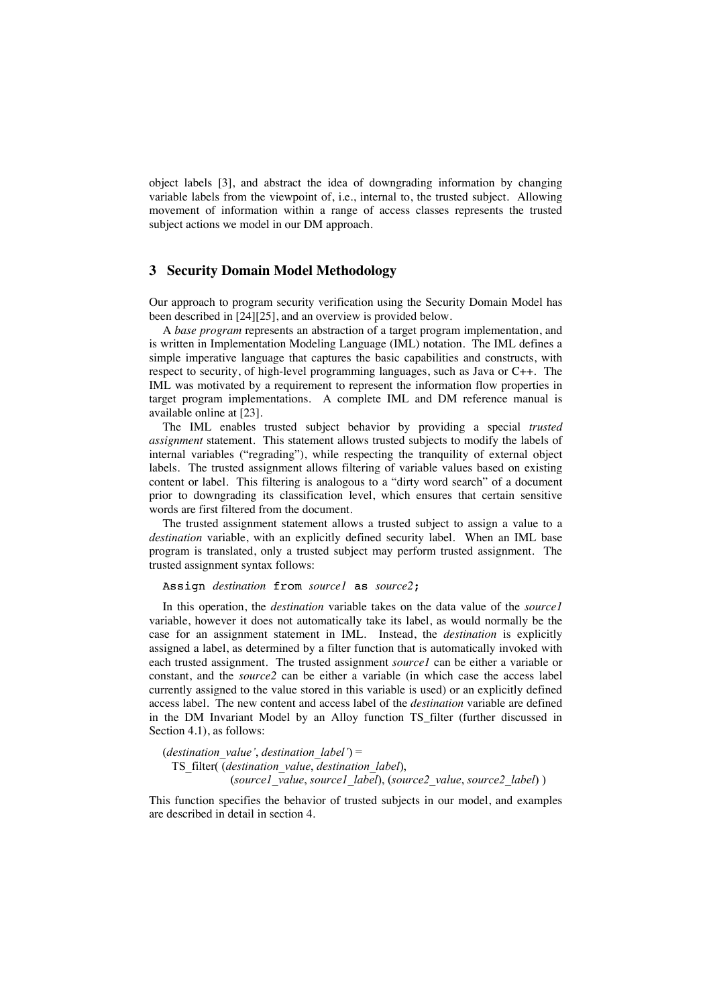object labels [3], and abstract the idea of downgrading information by changing variable labels from the viewpoint of, i.e., internal to, the trusted subject. Allowing movement of information within a range of access classes represents the trusted subject actions we model in our DM approach.

### **3 Security Domain Model Methodology**

Our approach to program security verification using the Security Domain Model has been described in [24][25], and an overview is provided below.

A *base program* represents an abstraction of a target program implementation, and is written in Implementation Modeling Language (IML) notation. The IML defines a simple imperative language that captures the basic capabilities and constructs, with respect to security, of high-level programming languages, such as Java or C++. The IML was motivated by a requirement to represent the information flow properties in target program implementations. A complete IML and DM reference manual is available online at [23].

The IML enables trusted subject behavior by providing a special *trusted assignment* statement. This statement allows trusted subjects to modify the labels of internal variables ("regrading"), while respecting the tranquility of external object labels. The trusted assignment allows filtering of variable values based on existing content or label. This filtering is analogous to a "dirty word search" of a document prior to downgrading its classification level, which ensures that certain sensitive words are first filtered from the document.

The trusted assignment statement allows a trusted subject to assign a value to a *destination* variable, with an explicitly defined security label. When an IML base program is translated, only a trusted subject may perform trusted assignment. The trusted assignment syntax follows:

#### Assign *destination* from *source1* as *source2*;

In this operation, the *destination* variable takes on the data value of the *source1* variable, however it does not automatically take its label, as would normally be the case for an assignment statement in IML. Instead, the *destination* is explicitly assigned a label, as determined by a filter function that is automatically invoked with each trusted assignment. The trusted assignment *source1* can be either a variable or constant, and the *source2* can be either a variable (in which case the access label currently assigned to the value stored in this variable is used) or an explicitly defined access label. The new content and access label of the *destination* variable are defined in the DM Invariant Model by an Alloy function TS\_filter (further discussed in Section 4.1), as follows:

(*destination\_value'*, *destination\_label'*) = TS\_filter( (*destination\_value*, *destination\_label*), (*source1\_value*, *source1\_label*), (*source2\_value*, *source2\_label*) )

This function specifies the behavior of trusted subjects in our model, and examples are described in detail in section 4.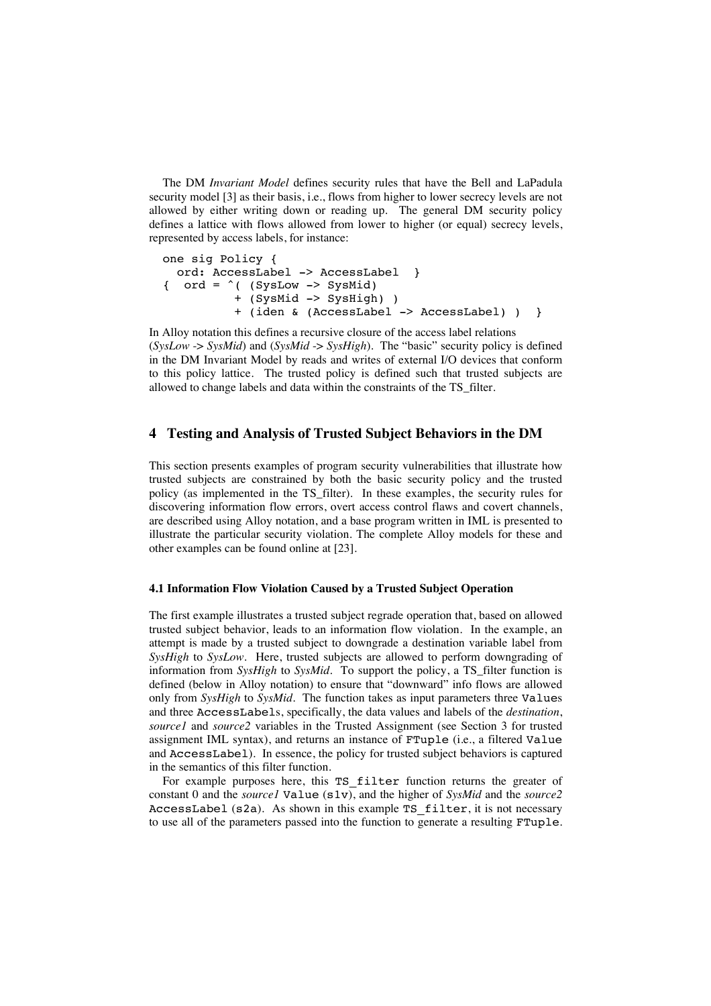The DM *Invariant Model* defines security rules that have the Bell and LaPadula security model [3] as their basis, i.e., flows from higher to lower secrecy levels are not allowed by either writing down or reading up. The general DM security policy defines a lattice with flows allowed from lower to higher (or equal) secrecy levels, represented by access labels, for instance:

```
one sig Policy {
   ord: AccessLabel -> AccessLabel }
\{ ord = \hat{ } ( (SysLow -> SysMid)
           + (SysMid -> SysHigh) )
           + (iden & (AccessLabel -> AccessLabel) ) }
```
In Alloy notation this defines a recursive closure of the access label relations (*SysLow* -> *SysMid*) and (*SysMid* -> *SysHigh*). The "basic" security policy is defined in the DM Invariant Model by reads and writes of external I/O devices that conform to this policy lattice. The trusted policy is defined such that trusted subjects are allowed to change labels and data within the constraints of the TS\_filter.

### **4 Testing and Analysis of Trusted Subject Behaviors in the DM**

This section presents examples of program security vulnerabilities that illustrate how trusted subjects are constrained by both the basic security policy and the trusted policy (as implemented in the TS\_filter). In these examples, the security rules for discovering information flow errors, overt access control flaws and covert channels, are described using Alloy notation, and a base program written in IML is presented to illustrate the particular security violation. The complete Alloy models for these and other examples can be found online at [23].

#### **4.1 Information Flow Violation Caused by a Trusted Subject Operation**

The first example illustrates a trusted subject regrade operation that, based on allowed trusted subject behavior, leads to an information flow violation. In the example, an attempt is made by a trusted subject to downgrade a destination variable label from *SysHigh* to *SysLow*. Here, trusted subjects are allowed to perform downgrading of information from *SysHigh* to *SysMid*. To support the policy, a TS\_filter function is defined (below in Alloy notation) to ensure that "downward" info flows are allowed only from *SysHigh* to *SysMid*. The function takes as input parameters three Values and three AccessLabels, specifically, the data values and labels of the *destination*, *source1* and *source2* variables in the Trusted Assignment (see Section 3 for trusted assignment IML syntax), and returns an instance of FTuple (i.e., a filtered Value and AccessLabel). In essence, the policy for trusted subject behaviors is captured in the semantics of this filter function.

For example purposes here, this TS filter function returns the greater of constant 0 and the *source1* Value (s1v), and the higher of *SysMid* and the *source2* AccessLabel (s2a). As shown in this example TS\_filter, it is not necessary to use all of the parameters passed into the function to generate a resulting FTuple.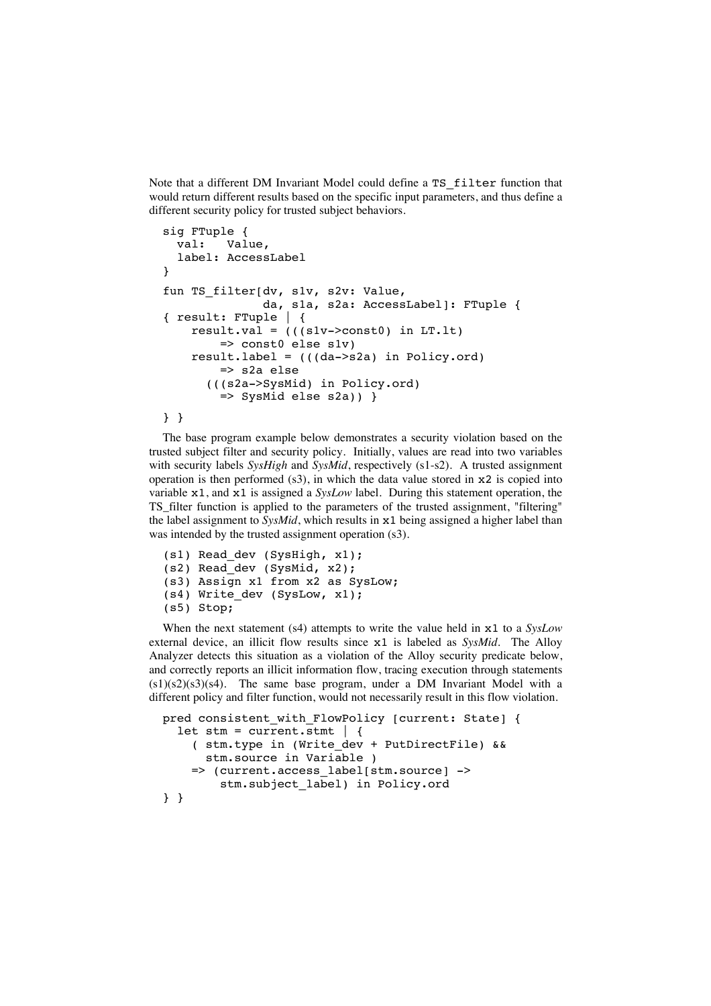Note that a different DM Invariant Model could define a TS\_filter function that would return different results based on the specific input parameters, and thus define a different security policy for trusted subject behaviors.

```
sig FTuple {
   val: Value,
   label: AccessLabel
} 
fun TS filter[dv, s1v, s2v: Value,
                da, s1a, s2a: AccessLabel]: FTuple {
{ result: FTuple | {
    result.val = (((s1v->const0) in LT.1t)
         => const0 else s1v)
     result.label = (((da->s2a) in Policy.ord)
         => s2a else
       (((s2a->SysMid) in Policy.ord)
        \Rightarrow SysMid else s2a)) }
```

```
} }
```
The base program example below demonstrates a security violation based on the trusted subject filter and security policy. Initially, values are read into two variables with security labels *SysHigh* and *SysMid*, respectively (s1-s2). A trusted assignment operation is then performed  $(s3)$ , in which the data value stored in  $x2$  is copied into variable x1, and x1 is assigned a *SysLow* label. During this statement operation, the TS\_filter function is applied to the parameters of the trusted assignment, "filtering" the label assignment to *SysMid*, which results in x1 being assigned a higher label than was intended by the trusted assignment operation (s3).

```
(s1) Read_dev (SysHigh, x1);
(s2) Read_dev (SysMid, x2);
(s3) Assign x1 from x2 as SysLow; 
(s4) Write dev (SysLow, x1);
(s5) Stop;
```
When the next statement (s4) attempts to write the value held in x1 to a *SysLow* external device, an illicit flow results since x1 is labeled as *SysMid*. The Alloy Analyzer detects this situation as a violation of the Alloy security predicate below, and correctly reports an illicit information flow, tracing execution through statements  $(s1)(s2)(s3)(s4)$ . The same base program, under a DM Invariant Model with a different policy and filter function, would not necessarily result in this flow violation.

```
pred consistent with FlowPolicy [current: State] {
  let stm = current.stmt | \{ ( stm.type in (Write_dev + PutDirectFile) && 
       stm.source in Variable )
     => (current.access_label[stm.source] -> 
         stm.subject_label) in Policy.ord
} }
```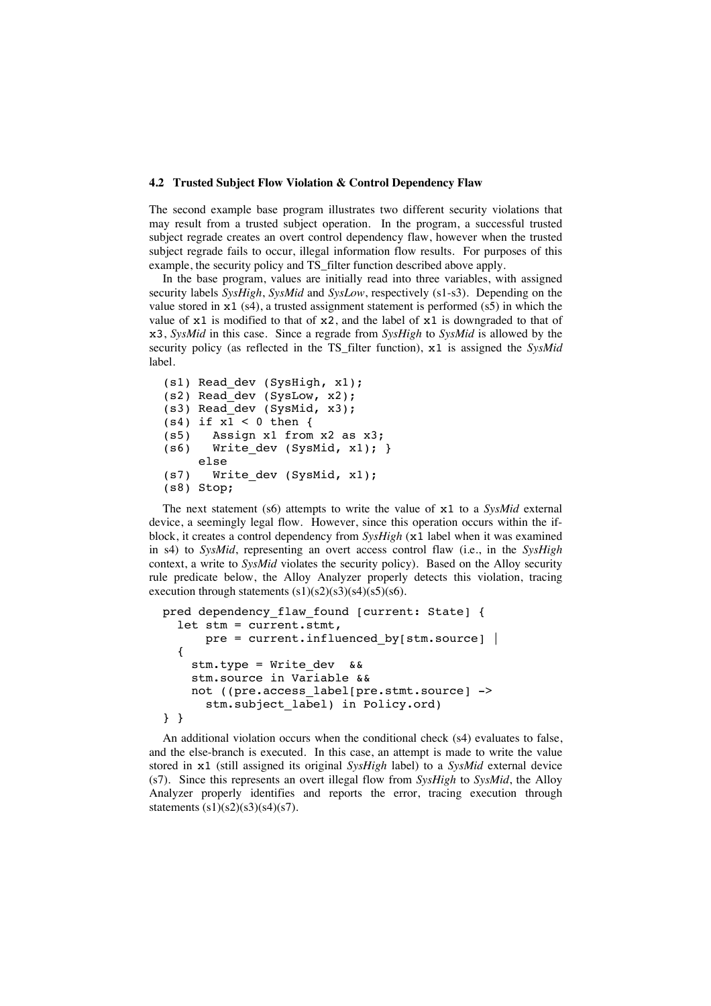#### **4.2 Trusted Subject Flow Violation & Control Dependency Flaw**

The second example base program illustrates two different security violations that may result from a trusted subject operation. In the program, a successful trusted subject regrade creates an overt control dependency flaw, however when the trusted subject regrade fails to occur, illegal information flow results. For purposes of this example, the security policy and TS filter function described above apply.

In the base program, values are initially read into three variables, with assigned security labels *SysHigh*, *SysMid* and *SysLow*, respectively (s1-s3). Depending on the value stored in  $x1$  (s4), a trusted assignment statement is performed (s5) in which the value of  $x1$  is modified to that of  $x2$ , and the label of  $x1$  is downgraded to that of x3, *SysMid* in this case. Since a regrade from *SysHigh* to *SysMid* is allowed by the security policy (as reflected in the TS\_filter function), x1 is assigned the *SysMid* label.

```
(s1) Read_dev (SysHigh, x1);
(s2) Read_dev (SysLow, x2);
(s3) Read_dev (SysMid, x3);
(s4) if x1 < 0 then {
(s5) Assign x1 from x2 as x3;
(s6) Write dev (SysMid, x1); }
     else 
(s7) Write_dev (SysMid, x1);
(s8) Stop;
```
The next statement (s6) attempts to write the value of x1 to a *SysMid* external device, a seemingly legal flow. However, since this operation occurs within the ifblock, it creates a control dependency from *SysHigh* (x1 label when it was examined in s4) to *SysMid*, representing an overt access control flaw (i.e., in the *SysHigh* context, a write to *SysMid* violates the security policy). Based on the Alloy security rule predicate below, the Alloy Analyzer properly detects this violation, tracing execution through statements  $(s1)(s2)(s3)(s4)(s5)(s6)$ .

```
pred dependency flaw found [current: State] {
   let stm = current.stmt, 
      pre = current.influence by[stm-source] {
     stm.type = Write_dev && 
     stm.source in Variable &&
     not ((pre.access_label[pre.stmt.source] -> 
      stm.subject label) in Policy.ord)
} }
```
An additional violation occurs when the conditional check (s4) evaluates to false, and the else-branch is executed. In this case, an attempt is made to write the value stored in x1 (still assigned its original *SysHigh* label) to a *SysMid* external device (s7). Since this represents an overt illegal flow from *SysHigh* to *SysMid*, the Alloy Analyzer properly identifies and reports the error, tracing execution through statements (s1)(s2)(s3)(s4)(s7).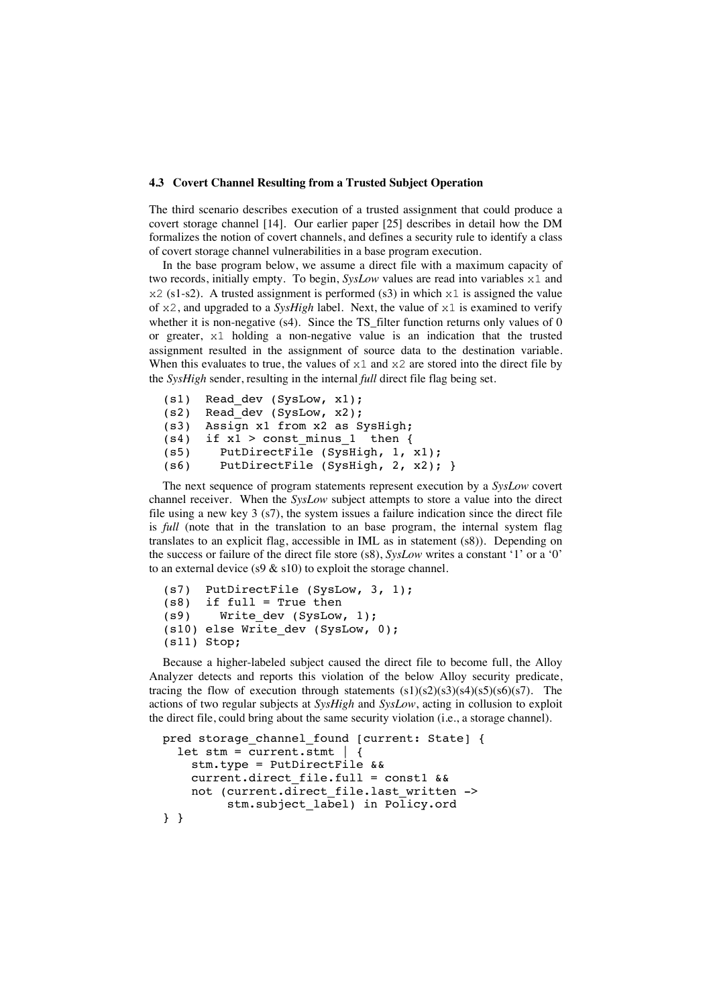#### **4.3 Covert Channel Resulting from a Trusted Subject Operation**

The third scenario describes execution of a trusted assignment that could produce a covert storage channel [14]. Our earlier paper [25] describes in detail how the DM formalizes the notion of covert channels, and defines a security rule to identify a class of covert storage channel vulnerabilities in a base program execution.

In the base program below, we assume a direct file with a maximum capacity of two records, initially empty. To begin, *SysLow* values are read into variables x1 and  $x2$  (s1-s2). A trusted assignment is performed (s3) in which  $x1$  is assigned the value of x2, and upgraded to a *SysHigh* label. Next, the value of x1 is examined to verify whether it is non-negative  $(s4)$ . Since the TS filter function returns only values of 0 or greater, x1 holding a non-negative value is an indication that the trusted assignment resulted in the assignment of source data to the destination variable. When this evaluates to true, the values of  $x1$  and  $x2$  are stored into the direct file by the *SysHigh* sender, resulting in the internal *full* direct file flag being set.

```
(s1) Read dev (SysLow, x1);
(s2) Read_dev (SysLow, x2); 
(s3) Assign x1 from x2 as SysHigh; 
(s4) if x1 > const minus 1 then {
(s5) PutDirectFile (SysHigh, 1, x1); 
(s6) PutDirectFile (SysHigh, 2, x2); }
```
The next sequence of program statements represent execution by a *SysLow* covert channel receiver. When the *SysLow* subject attempts to store a value into the direct file using a new key  $3$  (s7), the system issues a failure indication since the direct file is *full* (note that in the translation to an base program, the internal system flag translates to an explicit flag, accessible in IML as in statement (s8)). Depending on the success or failure of the direct file store (s8), *SysLow* writes a constant '1' or a '0' to an external device (s9  $\&$  s10) to exploit the storage channel.

```
(s7) PutDirectFile (SysLow, 3, 1); 
(s8) if full = True then 
(s9) Write dev (SysLow, 1);
(s10) else Write_dev (SysLow, 0); 
(s11) Stop;
```
Because a higher-labeled subject caused the direct file to become full, the Alloy Analyzer detects and reports this violation of the below Alloy security predicate, tracing the flow of execution through statements  $(s1)(s2)(s3)(s4)(s5)(s6)(s7)$ . The actions of two regular subjects at *SysHigh* and *SysLow*, acting in collusion to exploit the direct file, could bring about the same security violation (i.e., a storage channel).

```
pred storage channel found [current: State] {
  let stm = current.stmt | {
     stm.type = PutDirectFile && 
     current.direct_file.full = const1 && 
    not (current.direct file.last written ->
          stm.subject_label) in Policy.ord
```
} }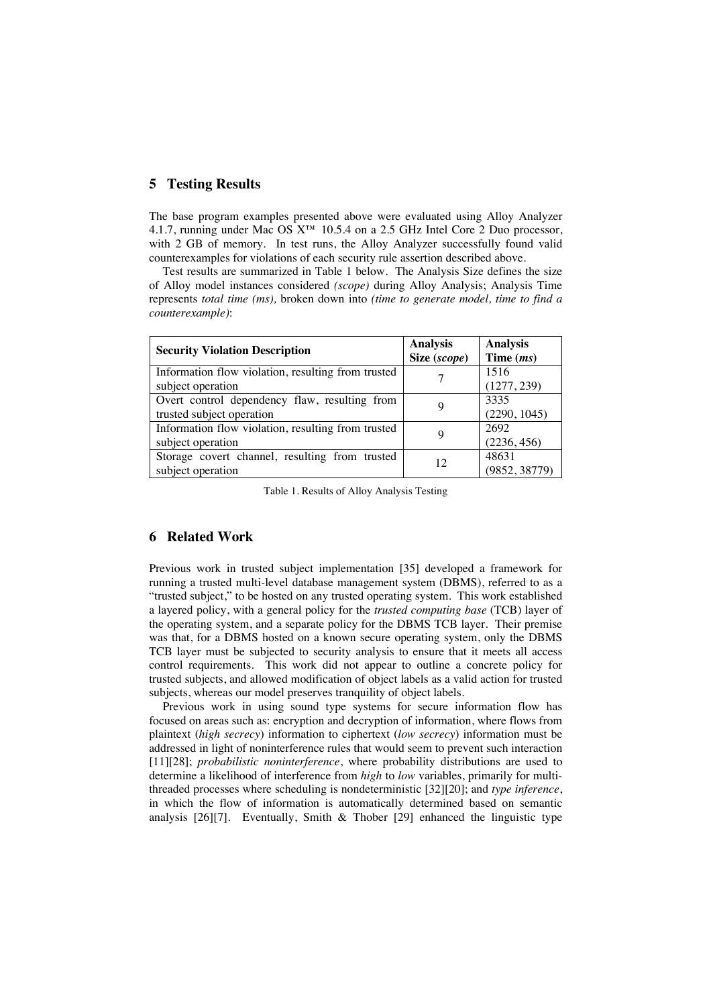### **5 Testing Results**

The base program examples presented above were evaluated using Alloy Analyzer 4.1.7, running under Mac OS X™ 10.5.4 on a 2.5 GHz Intel Core 2 Duo processor, with 2 GB of memory. In test runs, the Alloy Analyzer successfully found valid counterexamples for violations of each security rule assertion described above.

Test results are summarized in Table 1 below. The Analysis Size defines the size of Alloy model instances considered *(scope)* during Alloy Analysis; Analysis Time represents *total time (ms),* broken down into *(time to generate model, time to find a counterexample)*:

| <b>Security Violation Description</b>              | <b>Analysis</b><br>Size (scope) | <b>Analysis</b><br>Time $(ms)$ |
|----------------------------------------------------|---------------------------------|--------------------------------|
| Information flow violation, resulting from trusted |                                 | 1516                           |
| subject operation                                  |                                 | (1277, 239)                    |
| Overt control dependency flaw, resulting from      |                                 | 3335                           |
| trusted subject operation                          |                                 | (2290, 1045)                   |
| Information flow violation, resulting from trusted |                                 | 2692                           |
| subject operation                                  |                                 | (2236, 456)                    |
| Storage covert channel, resulting from trusted     | 12                              | 48631                          |
| subject operation                                  |                                 | (9852, 38779)                  |

Table 1. Results of Alloy Analysis Testing

### **6 Related Work**

Previous work in trusted subject implementation [35] developed a framework for running a trusted multi-level database management system (DBMS), referred to as a "trusted subject," to be hosted on any trusted operating system. This work established a layered policy, with a general policy for the *trusted computing base* (TCB) layer of the operating system, and a separate policy for the DBMS TCB layer. Their premise was that, for a DBMS hosted on a known secure operating system, only the DBMS TCB layer must be subjected to security analysis to ensure that it meets all access control requirements. This work did not appear to outline a concrete policy for trusted subjects, and allowed modification of object labels as a valid action for trusted subjects, whereas our model preserves tranquility of object labels.

Previous work in using sound type systems for secure information flow has focused on areas such as: encryption and decryption of information, where flows from plaintext (*high secrecy*) information to ciphertext (*low secrecy*) information must be addressed in light of noninterference rules that would seem to prevent such interaction [11][28]; *probabilistic noninterference*, where probability distributions are used to determine a likelihood of interference from *high* to *low* variables, primarily for multithreaded processes where scheduling is nondeterministic [32][20]; and *type inference*, in which the flow of information is automatically determined based on semantic analysis [26][7]. Eventually, Smith & Thober [29] enhanced the linguistic type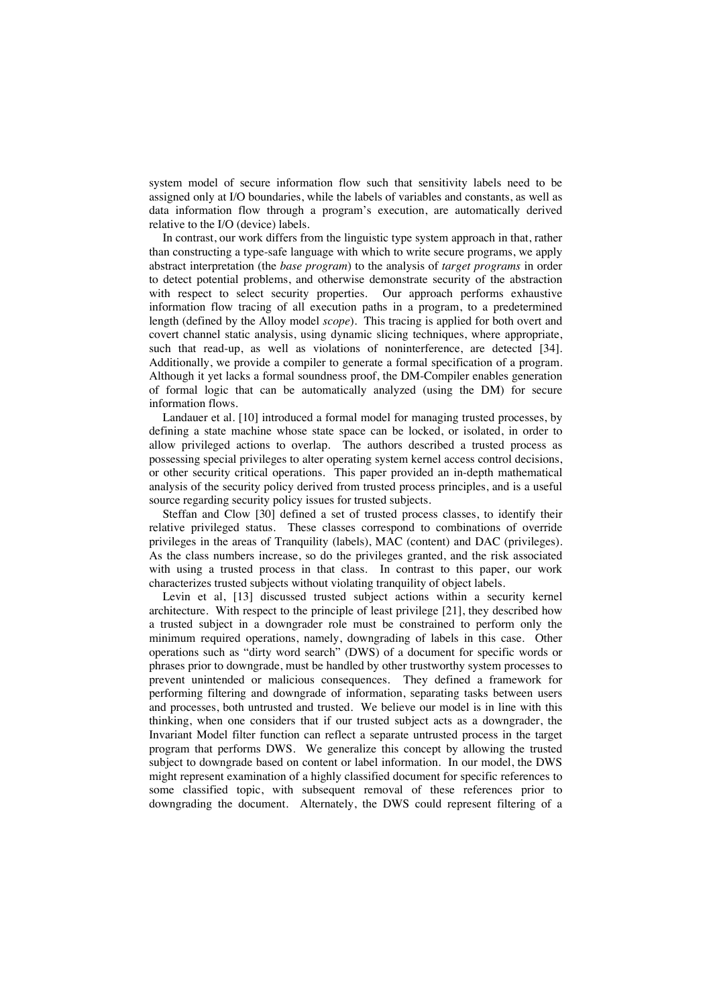system model of secure information flow such that sensitivity labels need to be assigned only at I/O boundaries, while the labels of variables and constants, as well as data information flow through a program's execution, are automatically derived relative to the I/O (device) labels.

In contrast, our work differs from the linguistic type system approach in that, rather than constructing a type-safe language with which to write secure programs, we apply abstract interpretation (the *base program*) to the analysis of *target programs* in order to detect potential problems, and otherwise demonstrate security of the abstraction with respect to select security properties. Our approach performs exhaustive information flow tracing of all execution paths in a program, to a predetermined length (defined by the Alloy model *scope*). This tracing is applied for both overt and covert channel static analysis, using dynamic slicing techniques, where appropriate, such that read-up, as well as violations of noninterference, are detected [34]. Additionally, we provide a compiler to generate a formal specification of a program. Although it yet lacks a formal soundness proof, the DM-Compiler enables generation of formal logic that can be automatically analyzed (using the DM) for secure information flows.

Landauer et al. [10] introduced a formal model for managing trusted processes, by defining a state machine whose state space can be locked, or isolated, in order to allow privileged actions to overlap. The authors described a trusted process as possessing special privileges to alter operating system kernel access control decisions, or other security critical operations. This paper provided an in-depth mathematical analysis of the security policy derived from trusted process principles, and is a useful source regarding security policy issues for trusted subjects.

Steffan and Clow [30] defined a set of trusted process classes, to identify their relative privileged status. These classes correspond to combinations of override privileges in the areas of Tranquility (labels), MAC (content) and DAC (privileges). As the class numbers increase, so do the privileges granted, and the risk associated with using a trusted process in that class. In contrast to this paper, our work characterizes trusted subjects without violating tranquility of object labels.

Levin et al, [13] discussed trusted subject actions within a security kernel architecture. With respect to the principle of least privilege [21], they described how a trusted subject in a downgrader role must be constrained to perform only the minimum required operations, namely, downgrading of labels in this case. Other operations such as "dirty word search" (DWS) of a document for specific words or phrases prior to downgrade, must be handled by other trustworthy system processes to prevent unintended or malicious consequences. They defined a framework for performing filtering and downgrade of information, separating tasks between users and processes, both untrusted and trusted. We believe our model is in line with this thinking, when one considers that if our trusted subject acts as a downgrader, the Invariant Model filter function can reflect a separate untrusted process in the target program that performs DWS. We generalize this concept by allowing the trusted subject to downgrade based on content or label information. In our model, the DWS might represent examination of a highly classified document for specific references to some classified topic, with subsequent removal of these references prior to downgrading the document. Alternately, the DWS could represent filtering of a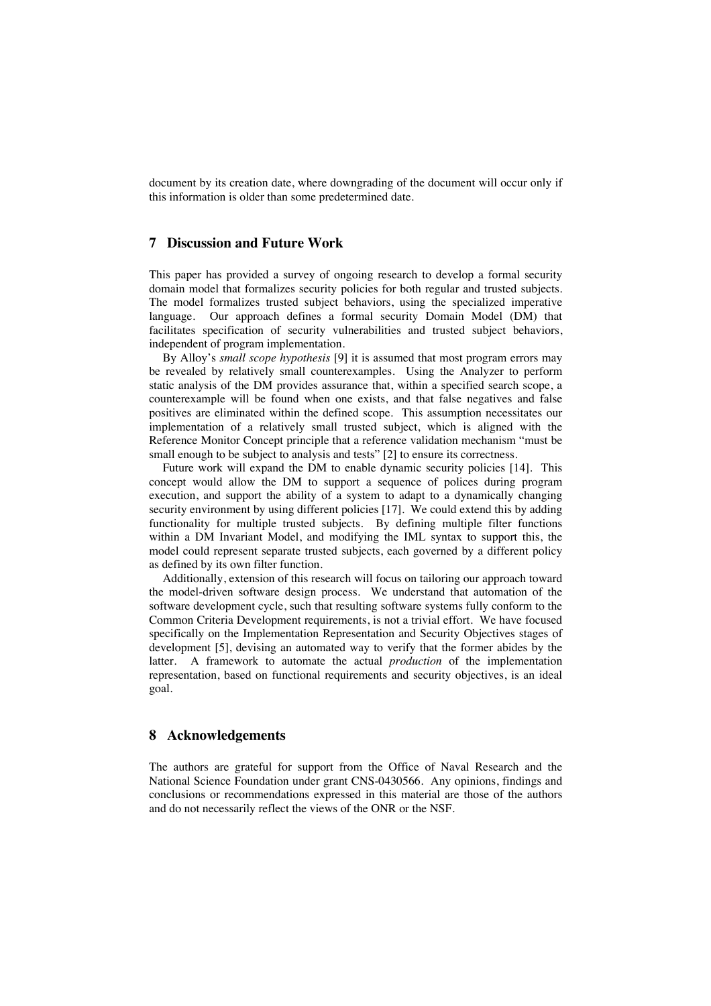document by its creation date, where downgrading of the document will occur only if this information is older than some predetermined date.

## **7 Discussion and Future Work**

This paper has provided a survey of ongoing research to develop a formal security domain model that formalizes security policies for both regular and trusted subjects. The model formalizes trusted subject behaviors, using the specialized imperative language. Our approach defines a formal security Domain Model (DM) that facilitates specification of security vulnerabilities and trusted subject behaviors, independent of program implementation.

By Alloy's *small scope hypothesis* [9] it is assumed that most program errors may be revealed by relatively small counterexamples. Using the Analyzer to perform static analysis of the DM provides assurance that, within a specified search scope, a counterexample will be found when one exists, and that false negatives and false positives are eliminated within the defined scope. This assumption necessitates our implementation of a relatively small trusted subject, which is aligned with the Reference Monitor Concept principle that a reference validation mechanism "must be small enough to be subject to analysis and tests" [2] to ensure its correctness.

Future work will expand the DM to enable dynamic security policies [14]. This concept would allow the DM to support a sequence of polices during program execution, and support the ability of a system to adapt to a dynamically changing security environment by using different policies [17]. We could extend this by adding functionality for multiple trusted subjects. By defining multiple filter functions within a DM Invariant Model, and modifying the IML syntax to support this, the model could represent separate trusted subjects, each governed by a different policy as defined by its own filter function.

Additionally, extension of this research will focus on tailoring our approach toward the model-driven software design process. We understand that automation of the software development cycle, such that resulting software systems fully conform to the Common Criteria Development requirements, is not a trivial effort. We have focused specifically on the Implementation Representation and Security Objectives stages of development [5], devising an automated way to verify that the former abides by the latter. A framework to automate the actual *production* of the implementation representation, based on functional requirements and security objectives, is an ideal goal.

### **8 Acknowledgements**

The authors are grateful for support from the Office of Naval Research and the National Science Foundation under grant CNS-0430566. Any opinions, findings and conclusions or recommendations expressed in this material are those of the authors and do not necessarily reflect the views of the ONR or the NSF.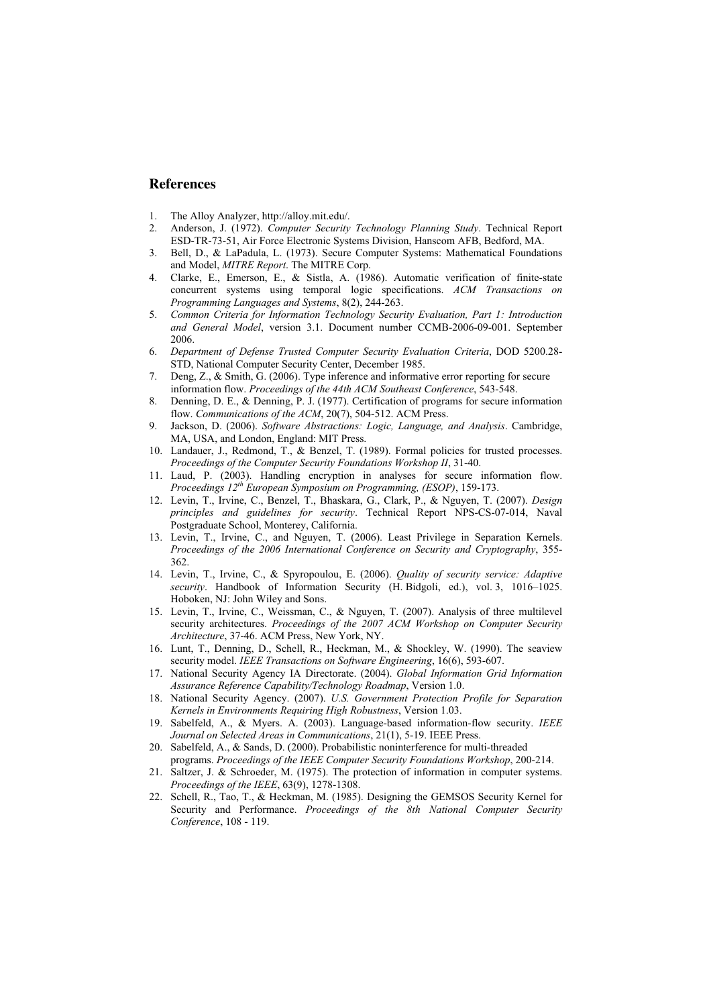### **References**

- 1. The Alloy Analyzer, http://alloy.mit.edu/.
- 2. Anderson, J. (1972). *Computer Security Technology Planning Study*. Technical Report ESD-TR-73-51, Air Force Electronic Systems Division, Hanscom AFB, Bedford, MA.
- 3. Bell, D., & LaPadula, L. (1973). Secure Computer Systems: Mathematical Foundations and Model, *MITRE Report*. The MITRE Corp.
- 4. Clarke, E., Emerson, E., & Sistla, A. (1986). Automatic verification of finite-state concurrent systems using temporal logic specifications. *ACM Transactions on Programming Languages and Systems*, 8(2), 244-263.
- 5. *Common Criteria for Information Technology Security Evaluation, Part 1: Introduction and General Model*, version 3.1. Document number CCMB-2006-09-001. September 2006.
- 6. *Department of Defense Trusted Computer Security Evaluation Criteria*, DOD 5200.28- STD, National Computer Security Center, December 1985.
- 7. Deng, Z., & Smith, G. (2006). Type inference and informative error reporting for secure information flow. *Proceedings of the 44th ACM Southeast Conference*, 543-548.
- 8. Denning, D. E., & Denning, P. J. (1977). Certification of programs for secure information flow. *Communications of the ACM*, 20(7), 504-512. ACM Press.
- 9. Jackson, D. (2006). *Software Abstractions: Logic, Language, and Analysis*. Cambridge, MA, USA, and London, England: MIT Press.
- 10. Landauer, J., Redmond, T., & Benzel, T. (1989). Formal policies for trusted processes. *Proceedings of the Computer Security Foundations Workshop II*, 31-40.
- 11. Laud, P. (2003). Handling encryption in analyses for secure information flow. *Proceedings 12th European Symposium on Programming, (ESOP)*, 159-173.
- 12. Levin, T., Irvine, C., Benzel, T., Bhaskara, G., Clark, P., & Nguyen, T. (2007). *Design principles and guidelines for security*. Technical Report NPS-CS-07-014, Naval Postgraduate School, Monterey, California.
- 13. Levin, T., Irvine, C., and Nguyen, T. (2006). Least Privilege in Separation Kernels. *Proceedings of the 2006 International Conference on Security and Cryptography*, 355- 362.
- 14. Levin, T., Irvine, C., & Spyropoulou, E. (2006). *Quality of security service: Adaptive security*. Handbook of Information Security (H. Bidgoli, ed.), vol. 3, 1016–1025. Hoboken, NJ: John Wiley and Sons.
- 15. Levin, T., Irvine, C., Weissman, C., & Nguyen, T. (2007). Analysis of three multilevel security architectures. *Proceedings of the 2007 ACM Workshop on Computer Security Architecture*, 37-46. ACM Press, New York, NY.
- 16. Lunt, T., Denning, D., Schell, R., Heckman, M., & Shockley, W. (1990). The seaview security model. *IEEE Transactions on Software Engineering*, 16(6), 593-607.
- 17. National Security Agency IA Directorate. (2004). *Global Information Grid Information Assurance Reference Capability/Technology Roadmap*, Version 1.0.
- 18. National Security Agency. (2007). *U.S. Government Protection Profile for Separation Kernels in Environments Requiring High Robustness*, Version 1.03.
- 19. Sabelfeld, A., & Myers. A. (2003). Language-based information-flow security. *IEEE Journal on Selected Areas in Communications*, 21(1), 5-19. IEEE Press.
- 20. Sabelfeld, A., & Sands, D. (2000). Probabilistic noninterference for multi-threaded programs. *Proceedings of the IEEE Computer Security Foundations Workshop*, 200-214.
- 21. Saltzer, J. & Schroeder, M. (1975). The protection of information in computer systems. *Proceedings of the IEEE*, 63(9), 1278-1308.
- 22. Schell, R., Tao, T., & Heckman, M. (1985). Designing the GEMSOS Security Kernel for Security and Performance. *Proceedings of the 8th National Computer Security Conference*, 108 - 119.